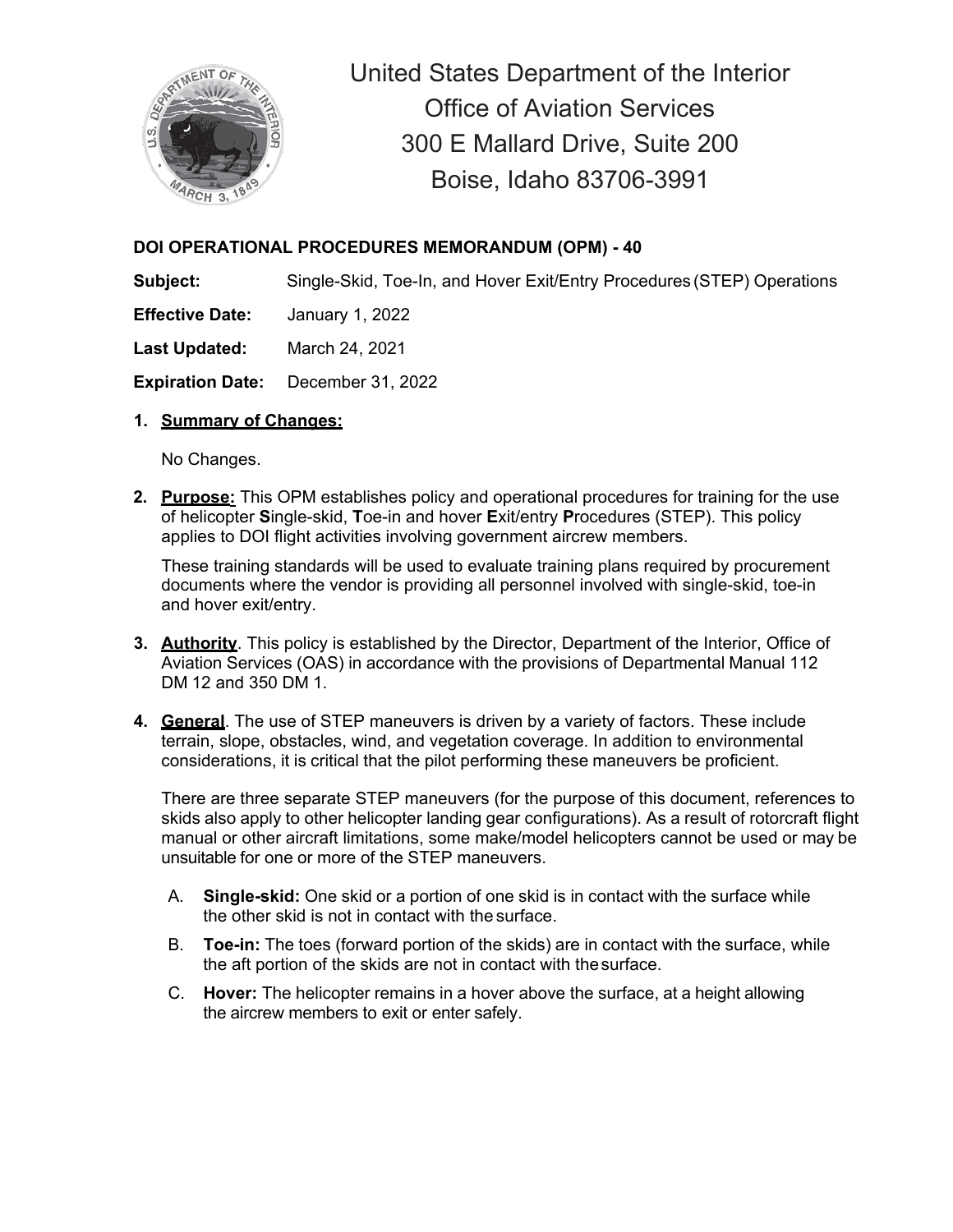

United States Department of the Interior Office of Aviation Services 300 E Mallard Drive, Suite 200 Boise, Idaho 83706-3991

# **DOI OPERATIONAL PROCEDURES MEMORANDUM (OPM) - 40**

**Subject:** Single-Skid, Toe-In, and Hover Exit/Entry Procedures (STEP) Operations

**Effective Date:** January 1, 2022

**Last Updated:** March 24, 2021

**Expiration Date:** December 31, 2022

## **1. Summary of Changes:**

No Changes.

**2. Purpose:** This OPM establishes policy and operational procedures for training for the use of helicopter **S**ingle-skid, **T**oe-in and hover **E**xit/entry **P**rocedures (STEP). This policy applies to DOI flight activities involving government aircrew members.

These training standards will be used to evaluate training plans required by procurement documents where the vendor is providing all personnel involved with single-skid, toe-in and hover exit/entry.

- **3. Authority**. This policy is established by the Director, Department of the Interior, Office of Aviation Services (OAS) in accordance with the provisions of Departmental Manual 112 DM 12 and 350 DM 1.
- **4. General**. The use of STEP maneuvers is driven by a variety of factors. These include terrain, slope, obstacles, wind, and vegetation coverage. In addition to environmental considerations, it is critical that the pilot performing these maneuvers be proficient.

There are three separate STEP maneuvers (for the purpose of this document, references to skids also apply to other helicopter landing gear configurations). As a result of rotorcraft flight manual or other aircraft limitations, some make/model helicopters cannot be used or may be unsuitable for one or more of the STEP maneuvers.

- A. **Single-skid:** One skid or a portion of one skid is in contact with the surface while the other skid is not in contact with the surface.
- B. **Toe-in:** The toes (forward portion of the skids) are in contact with the surface, while the aft portion of the skids are not in contact with thesurface.
- C. **Hover:** The helicopter remains in a hover above the surface, at a height allowing the aircrew members to exit or enter safely.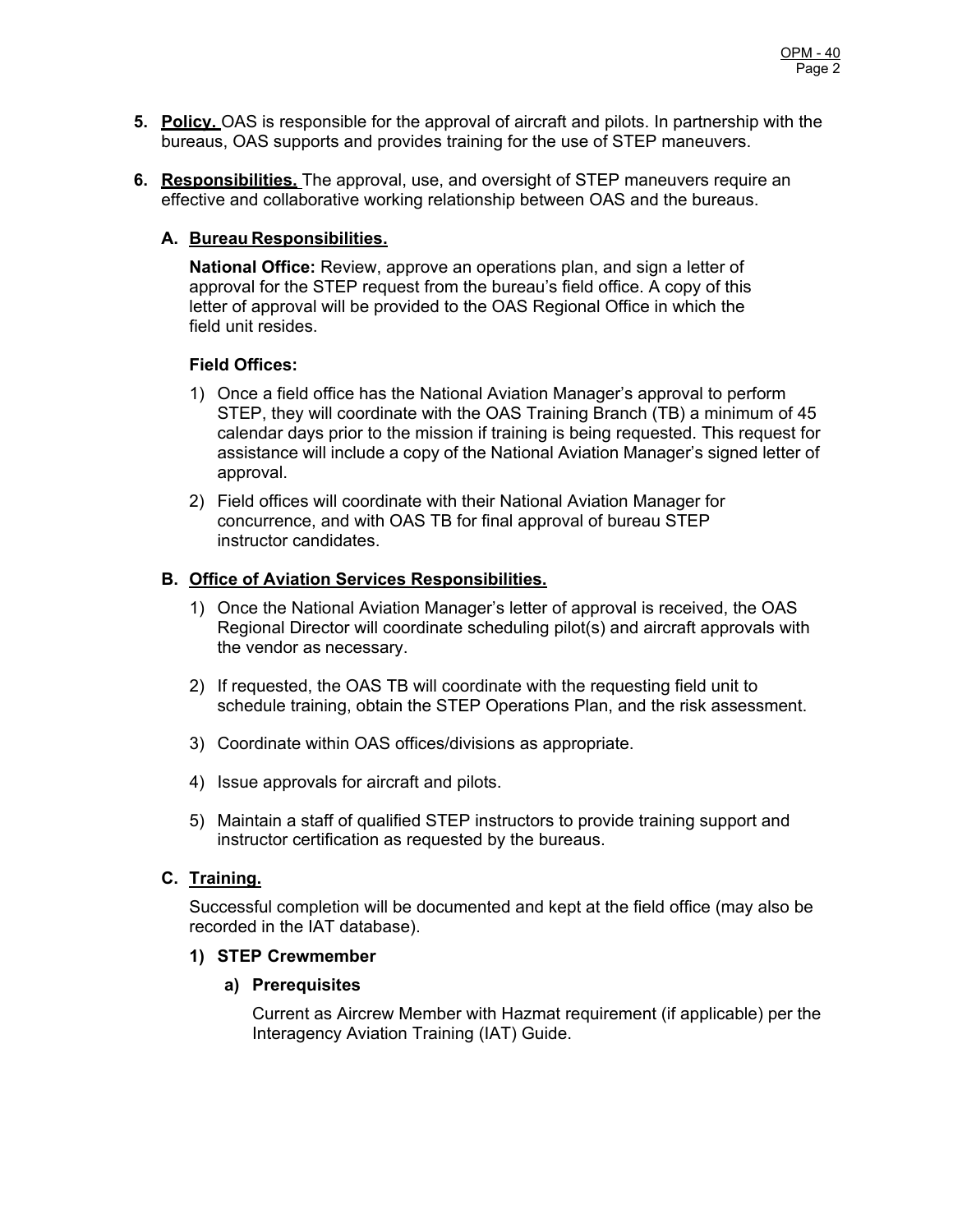- **5. Policy.** OAS is responsible for the approval of aircraft and pilots. In partnership with the bureaus, OAS supports and provides training for the use of STEP maneuvers.
- **6. Responsibilities.** The approval, use, and oversight of STEP maneuvers require an effective and collaborative working relationship between OAS and the bureaus.

### **A. Bureau Responsibilities.**

**National Office:** Review, approve an operations plan, and sign a letter of approval for the STEP request from the bureau's field office. A copy of this letter of approval will be provided to the OAS Regional Office in which the field unit resides.

#### **Field Offices:**

- 1) Once a field office has the National Aviation Manager's approval to perform STEP, they will coordinate with the OAS Training Branch (TB) a minimum of 45 calendar days prior to the mission if training is being requested. This request for assistance will include a copy of the National Aviation Manager's signed letter of approval.
- 2) Field offices will coordinate with their National Aviation Manager for concurrence, and with OAS TB for final approval of bureau STEP instructor candidates.

#### **B. Office of Aviation Services Responsibilities.**

- 1) Once the National Aviation Manager's letter of approval is received, the OAS Regional Director will coordinate scheduling pilot(s) and aircraft approvals with the vendor as necessary.
- 2) If requested, the OAS TB will coordinate with the requesting field unit to schedule training, obtain the STEP Operations Plan, and the risk assessment.
- 3) Coordinate within OAS offices/divisions as appropriate.
- 4) Issue approvals for aircraft and pilots.
- 5) Maintain a staff of qualified STEP instructors to provide training support and instructor certification as requested by the bureaus.

#### **C. Training.**

Successful completion will be documented and kept at the field office (may also be recorded in the IAT database).

#### **1) STEP Crewmember**

#### **a) Prerequisites**

Current as Aircrew Member with Hazmat requirement (if applicable) per the Interagency Aviation Training (IAT) Guide.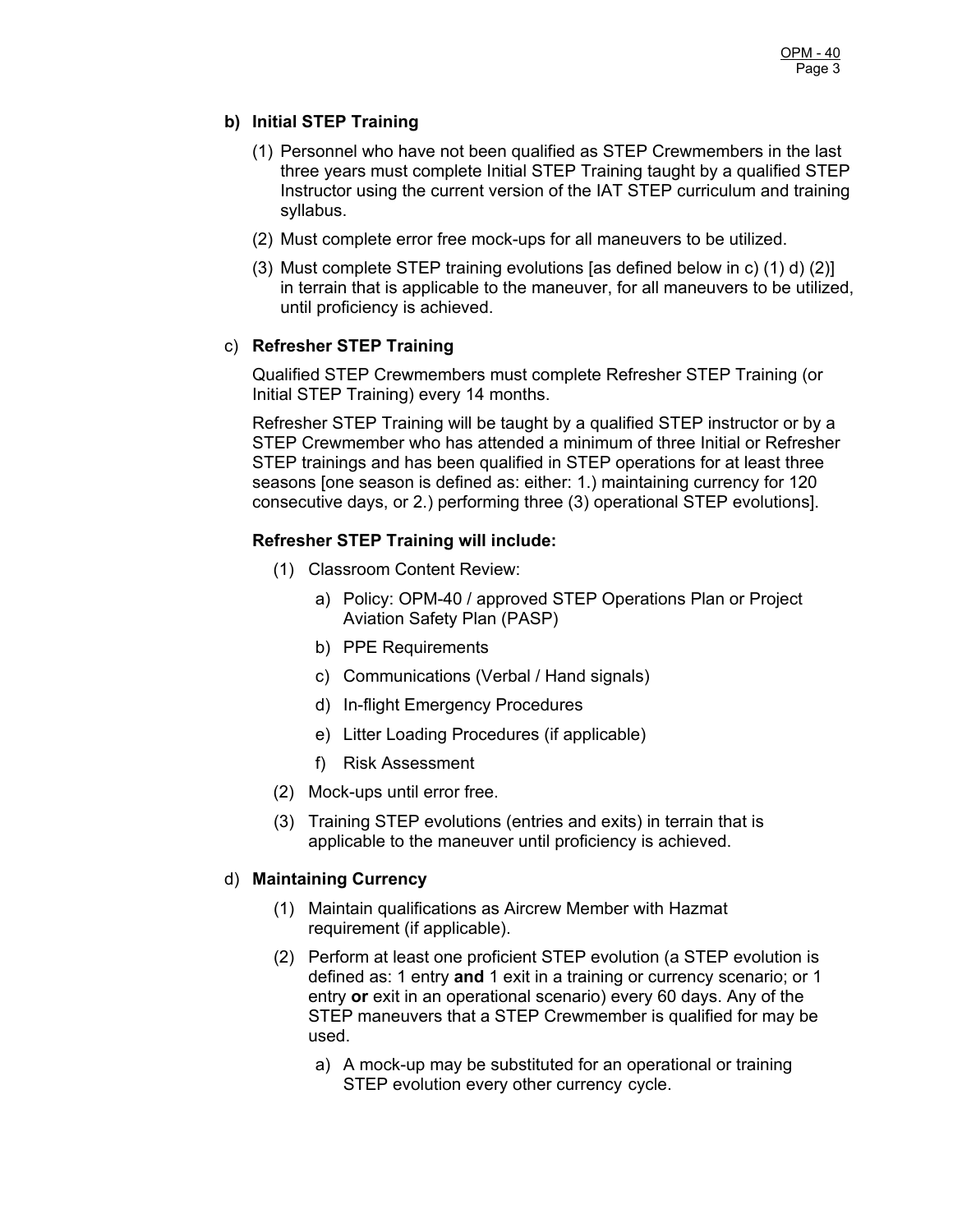## **b) Initial STEP Training**

- (1) Personnel who have not been qualified as STEP Crewmembers in the last three years must complete Initial STEP Training taught by a qualified STEP Instructor using the current version of the IAT STEP curriculum and training syllabus.
- (2) Must complete error free mock-ups for all maneuvers to be utilized.
- (3) Must complete STEP training evolutions [as defined below in c) (1) d) (2)] in terrain that is applicable to the maneuver, for all maneuvers to be utilized, until proficiency is achieved.

## c) **Refresher STEP Training**

Qualified STEP Crewmembers must complete Refresher STEP Training (or Initial STEP Training) every 14 months.

Refresher STEP Training will be taught by a qualified STEP instructor or by a STEP Crewmember who has attended a minimum of three Initial or Refresher STEP trainings and has been qualified in STEP operations for at least three seasons [one season is defined as: either: 1.) maintaining currency for 120 consecutive days, or 2.) performing three (3) operational STEP evolutions].

## **Refresher STEP Training will include:**

- (1) Classroom Content Review:
	- a) Policy: OPM-40 / approved STEP Operations Plan or Project Aviation Safety Plan (PASP)
	- b) PPE Requirements
	- c) Communications (Verbal / Hand signals)
	- d) In-flight Emergency Procedures
	- e) Litter Loading Procedures (if applicable)
	- f) Risk Assessment
- (2) Mock-ups until error free.
- (3) Training STEP evolutions (entries and exits) in terrain that is applicable to the maneuver until proficiency is achieved.

## d) **Maintaining Currency**

- (1) Maintain qualifications as Aircrew Member with Hazmat requirement (if applicable).
- (2) Perform at least one proficient STEP evolution (a STEP evolution is defined as: 1 entry **and** 1 exit in a training or currency scenario; or 1 entry **or** exit in an operational scenario) every 60 days. Any of the STEP maneuvers that a STEP Crewmember is qualified for may be used.
	- a) A mock-up may be substituted for an operational or training STEP evolution every other currency cycle.